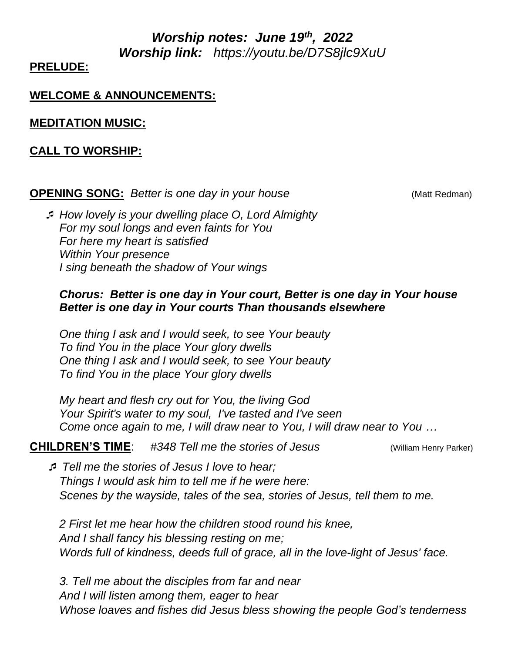*Worship notes: June 19<sup>th</sup>, 2022 Worship link: https://youtu.be/D7S8jlc9XuU* 

### **PRELUDE:**

### **WELCOME & ANNOUNCEMENTS:**

**MEDITATION MUSIC:**

#### **CALL TO WORSHIP:**

#### **OPENING SONG:** *Better is one day in your house COPENING SONG: <i>Better is one day in your house* (Matt Redman)

 *How lovely is your dwelling place O, Lord Almighty For my soul longs and even faints for You For here my heart is satisfied Within Your presence I sing beneath the shadow of Your wings*

### *Chorus: Better is one day in Your court, Better is one day in Your house Better is one day in Your courts Than thousands elsewhere*

*One thing I ask and I would seek, to see Your beauty To find You in the place Your glory dwells One thing I ask and I would seek, to see Your beauty To find You in the place Your glory dwells*

*My heart and flesh cry out for You, the living God Your Spirit's water to my soul, I've tasted and I've seen Come once again to me, I will draw near to You, I will draw near to You …*

**CHILDREN'S TIME**: *#348 Tell me the stories of Jesus* (William Henry Parker)

 *Tell me the stories of Jesus I love to hear; Things I would ask him to tell me if he were here: Scenes by the wayside, tales of the sea, stories of Jesus, tell them to me.*

*2 First let me hear how the children stood round his knee, And I shall fancy his blessing resting on me; Words full of kindness, deeds full of grace, all in the love-light of Jesus' face.*

*3. Tell me about the disciples from far and near And I will listen among them, eager to hear Whose loaves and fishes did Jesus bless showing the people God's tenderness*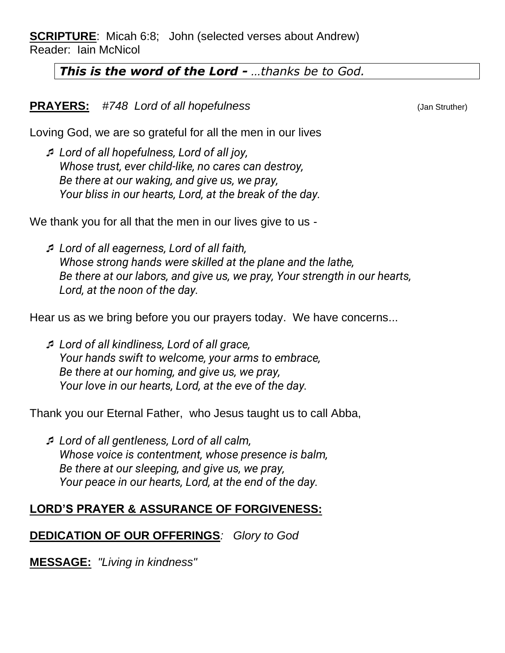**SCRIPTURE**: Micah 6:8; John (selected verses about Andrew) Reader: Iain McNicol

## *This is the word of the Lord - …thanks be to God.*

### **PRAYERS:** #748 Lord of all hopefulness (Jan Struther)

Loving God, we are so grateful for all the men in our lives

 *Lord of all hopefulness, Lord of all joy, Whose trust, ever child-like, no cares can destroy, Be there at our waking, and give us, we pray, Your bliss in our hearts, Lord, at the break of the day.*

We thank you for all that the men in our lives give to us -

 *Lord of all eagerness, Lord of all faith, Whose strong hands were skilled at the plane and the lathe, Be there at our labors, and give us, we pray, Your strength in our hearts, Lord, at the noon of the day.*

Hear us as we bring before you our prayers today. We have concerns...

 *Lord of all kindliness, Lord of all grace, Your hands swift to welcome, your arms to embrace, Be there at our homing, and give us, we pray, Your love in our hearts, Lord, at the eve of the day.*

Thank you our Eternal Father, who Jesus taught us to call Abba,

 *Lord of all gentleness, Lord of all calm, Whose voice is contentment, whose presence is balm, Be there at our sleeping, and give us, we pray, Your peace in our hearts, Lord, at the end of the day.*

# **LORD'S PRAYER & ASSURANCE OF FORGIVENESS:**

# **DEDICATION OF OUR OFFERINGS***: Glory to God*

**MESSAGE:** *"Living in kindness"*